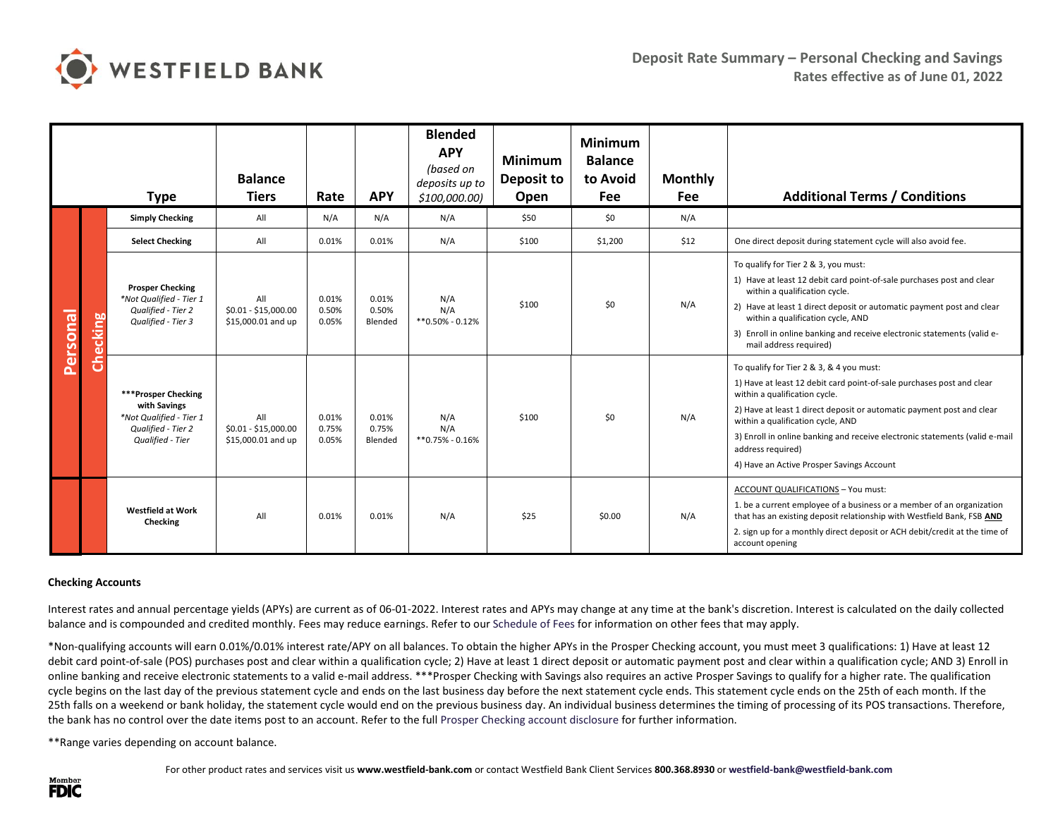

| <b>Type</b> |          |                                                                                                          | <b>Balance</b><br><b>Tiers</b>                    | Rate                    |                           | <b>Blended</b><br><b>APY</b><br>(based on<br>deposits up to<br>\$100,000.00) | <b>Minimum</b><br>Deposit to<br>Open | <b>Minimum</b><br><b>Balance</b><br>to Avoid<br>Fee | <b>Monthly</b><br><b>Fee</b> | <b>Additional Terms / Conditions</b>                                                                                                                                                                                                                                                                                                                                                                              |  |
|-------------|----------|----------------------------------------------------------------------------------------------------------|---------------------------------------------------|-------------------------|---------------------------|------------------------------------------------------------------------------|--------------------------------------|-----------------------------------------------------|------------------------------|-------------------------------------------------------------------------------------------------------------------------------------------------------------------------------------------------------------------------------------------------------------------------------------------------------------------------------------------------------------------------------------------------------------------|--|
| Personal    |          | <b>Simply Checking</b>                                                                                   | All                                               | N/A                     | N/A                       | N/A                                                                          | \$50                                 | \$0                                                 | N/A                          |                                                                                                                                                                                                                                                                                                                                                                                                                   |  |
|             |          | <b>Select Checking</b>                                                                                   | All                                               | 0.01%                   | 0.01%                     | N/A                                                                          | \$100                                | \$1,200                                             | \$12                         | One direct deposit during statement cycle will also avoid fee.                                                                                                                                                                                                                                                                                                                                                    |  |
|             | Checking | <b>Prosper Checking</b><br>*Not Qualified - Tier 1<br>Qualified - Tier 2<br>Qualified - Tier 3           | All<br>$$0.01 - $15,000.00$<br>\$15,000.01 and up | 0.01%<br>0.50%<br>0.05% | 0.01%<br>0.50%<br>Blended | N/A<br>N/A<br>$*$ *0.50% - 0.12%                                             | \$100                                | \$0                                                 | N/A                          | To qualify for Tier 2 & 3, you must:<br>1) Have at least 12 debit card point-of-sale purchases post and clear<br>within a qualification cycle.<br>2) Have at least 1 direct deposit or automatic payment post and clear<br>within a qualification cycle, AND<br>3) Enroll in online banking and receive electronic statements (valid e-<br>mail address required)                                                 |  |
|             |          | ***Prosper Checking<br>with Savings<br>*Not Qualified - Tier 1<br>Qualified - Tier 2<br>Qualified - Tier | All<br>\$0.01 - \$15,000.00<br>\$15,000.01 and up | 0.01%<br>0.75%<br>0.05% | 0.01%<br>0.75%<br>Blended | N/A<br>N/A<br>$*$ *0.75% - 0.16%                                             | \$100                                | \$0                                                 | N/A                          | To qualify for Tier 2 & 3, & 4 you must:<br>1) Have at least 12 debit card point-of-sale purchases post and clear<br>within a qualification cycle.<br>2) Have at least 1 direct deposit or automatic payment post and clear<br>within a qualification cycle, AND<br>3) Enroll in online banking and receive electronic statements (valid e-mail<br>address required)<br>4) Have an Active Prosper Savings Account |  |
|             |          | <b>Westfield at Work</b><br>Checking                                                                     | All                                               | 0.01%                   | 0.01%                     | N/A                                                                          | \$25                                 | \$0.00                                              | N/A                          | ACCOUNT QUALIFICATIONS - You must:<br>1. be a current employee of a business or a member of an organization<br>that has an existing deposit relationship with Westfield Bank, FSB AND<br>2. sign up for a monthly direct deposit or ACH debit/credit at the time of<br>account opening                                                                                                                            |  |

## **Checking Accounts**

Interest rates and annual percentage yields (APYs) are current as of 06-01-2022. Interest rates and APYs may change at any time at the bank's discretion. Interest is calculated on the daily collected balance and is compounded and credited monthly. Fees may reduce earnings. Refer to our [Schedule of Fees](https://www.westfield-bank.com/sites/default/files/WB%20Schedule%20of%20Fees%202017_website_final.pdf) for information on other fees that may apply.

\*Non-qualifying accounts will earn 0.01%/0.01% interest rate/APY on all balances. To obtain the higher APYs in the Prosper Checking account, you must meet 3 qualifications: 1) Have at least 12 debit card point-of-sale (POS) purchases post and clear within a qualification cycle; 2) Have at least 1 direct deposit or automatic payment post and clear within a qualification cycle; AND 3) Enroll in online banking and receive electronic statements to a valid e-mail address. \*\*\*Prosper Checking with Savings also requires an active Prosper Savings to qualify for a higher rate. The qualification cycle begins on the last day of the previous statement cycle and ends on the last business day before the next statement cycle ends. This statement cycle ends on the 25th of each month. If the 25th falls on a weekend or bank holiday, the statement cycle would end on the previous business day. An individual business determines the timing of processing of its POS transactions. Therefore, the bank has no control over the date items post to an account. Refer to the full Prosper [Checking account disclosure](https://www.westfield-bank.com/sites/default/files/CK%20acct%20disclosure%20-%20Dream%20Big%20Checking%20-%20Nov%202016.pdf) for further information.

\*\*Range varies depending on account balance.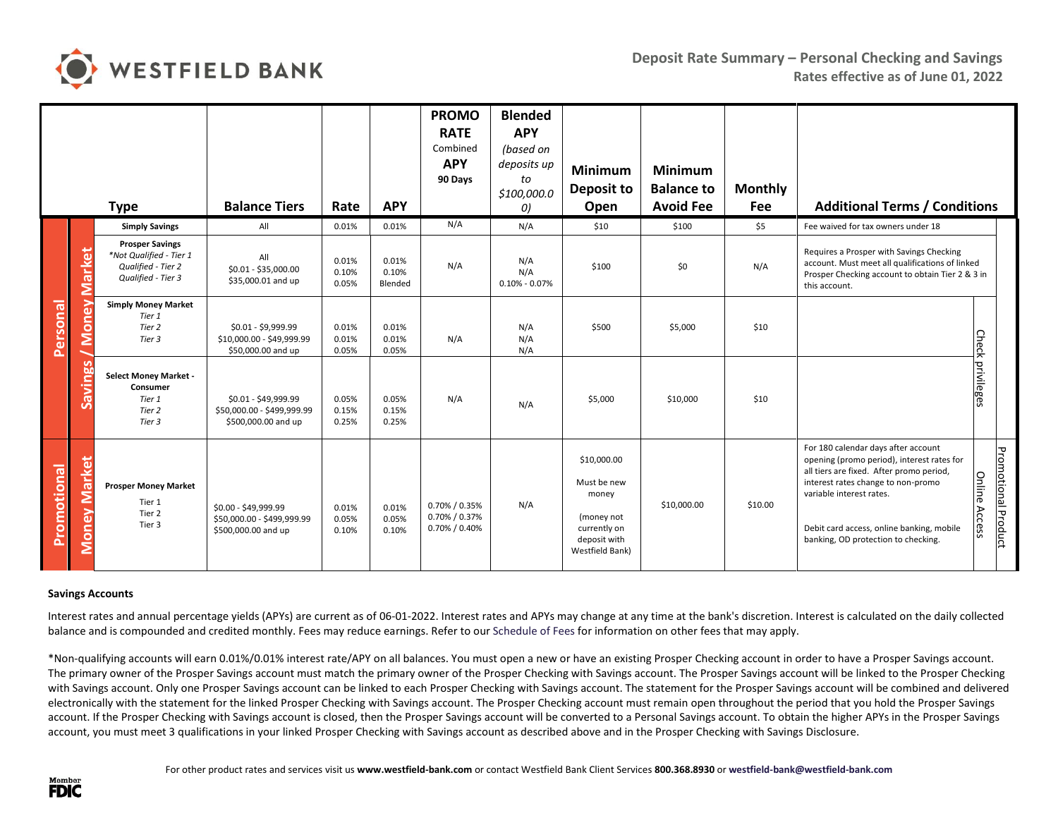

|                 |                        | <b>Type</b>                                                                                   | <b>Balance Tiers</b>                                                      | Rate                    | <b>APY</b>                | <b>PROMO</b><br><b>RATE</b><br>Combined<br><b>APY</b><br>90 Days | <b>Blended</b><br><b>APY</b><br>(based on<br>deposits up<br>to<br>\$100,000.0<br>0) | <b>Minimum</b><br>Deposit to<br>Open                                                                 | <b>Minimum</b><br><b>Balance to</b><br><b>Avoid Fee</b> | <b>Monthly</b><br>Fee | <b>Additional Terms / Conditions</b>                                                                                                                                                                                                                                                                    |                            |
|-----------------|------------------------|-----------------------------------------------------------------------------------------------|---------------------------------------------------------------------------|-------------------------|---------------------------|------------------------------------------------------------------|-------------------------------------------------------------------------------------|------------------------------------------------------------------------------------------------------|---------------------------------------------------------|-----------------------|---------------------------------------------------------------------------------------------------------------------------------------------------------------------------------------------------------------------------------------------------------------------------------------------------------|----------------------------|
|                 |                        | <b>Simply Savings</b>                                                                         | All                                                                       | 0.01%                   | 0.01%                     | N/A                                                              | N/A                                                                                 | \$10                                                                                                 | \$100                                                   | \$5                   | Fee waived for tax owners under 18                                                                                                                                                                                                                                                                      |                            |
| <b>Personal</b> | <b>Market</b><br>Money | <b>Prosper Savings</b><br>*Not Qualified - Tier 1<br>Qualified - Tier 2<br>Qualified - Tier 3 | All<br>\$0.01 - \$35,000.00<br>\$35,000.01 and up                         | 0.01%<br>0.10%<br>0.05% | 0.01%<br>0.10%<br>Blended | N/A                                                              | N/A<br>N/A<br>$0.10\% - 0.07\%$                                                     | \$100                                                                                                | \$0                                                     | N/A                   | Requires a Prosper with Savings Checking<br>account. Must meet all qualifications of linked<br>Prosper Checking account to obtain Tier 2 & 3 in<br>this account.                                                                                                                                        |                            |
|                 |                        | <b>Simply Money Market</b><br>Tier 1<br>Tier 2<br>Tier 3                                      | \$0.01 - \$9,999.99<br>\$10,000.00 - \$49,999.99<br>\$50,000.00 and up    | 0.01%<br>0.01%<br>0.05% | 0.01%<br>0.01%<br>0.05%   | N/A                                                              | N/A<br>N/A<br>N/A                                                                   | \$500                                                                                                | \$5,000                                                 | \$10                  |                                                                                                                                                                                                                                                                                                         |                            |
|                 | Savings                | <b>Select Money Market -</b><br>Consumer<br>Tier 1<br>Tier 2<br>Tier 3                        | \$0.01 - \$49,999.99<br>\$50,000.00 - \$499,999.99<br>\$500,000.00 and up | 0.05%<br>0.15%<br>0.25% | 0.05%<br>0.15%<br>0.25%   | N/A                                                              | N/A                                                                                 | \$5,000                                                                                              | \$10,000                                                | \$10                  | Check privileges                                                                                                                                                                                                                                                                                        |                            |
| Promotional     | <b>Money Market</b>    | <b>Prosper Money Market</b><br>Tier 1<br>Tier 2<br>Tier 3                                     | \$0.00 - \$49,999.99<br>\$50,000.00 - \$499,999.99<br>\$500,000.00 and up | 0.01%<br>0.05%<br>0.10% | 0.01%<br>0.05%<br>0.10%   | 0.70% / 0.35%<br>0.70% / 0.37%<br>0.70% / 0.40%                  | N/A                                                                                 | \$10,000.00<br>Must be new<br>money<br>(money not<br>currently on<br>deposit with<br>Westfield Bank) | \$10,000.00                                             | \$10.00               | For 180 calendar days after account<br>opening (promo period), interest rates for<br>all tiers are fixed. After promo period,<br>Online<br>interest rates change to non-promo<br>variable interest rates.<br>Access<br>Debit card access, online banking, mobile<br>banking, OD protection to checking. | <b>Promotional Product</b> |

## **Savings Accounts**

Interest rates and annual percentage yields (APYs) are current as of 06-01-2022. Interest rates and APYs may change at any time at the bank's discretion. Interest is calculated on the daily collected balance and is compounded and credited monthly. Fees may reduce earnings. Refer to our [Schedule of Fees](https://www.westfield-bank.com/sites/default/files/WB%20Schedule%20of%20Fees%202017_website_final.pdf) for information on other fees that may apply.

\*Non-qualifying accounts will earn 0.01%/0.01% interest rate/APY on all balances. You must open a new or have an existing Prosper Checking account in order to have a Prosper Savings account. The primary owner of the Prosper Savings account must match the primary owner of the Prosper Checking with Savings account. The Prosper Savings account will be linked to the Prosper Checking with Savings account. Only one Prosper Savings account can be linked to each Prosper Checking with Savings account. The statement for the Prosper Savings account will be combined and delivered electronically with the statement for the linked Prosper Checking with Savings account. The Prosper Checking account must remain open throughout the period that you hold the Prosper Savings account. If the Prosper Checking with Savings account is closed, then the Prosper Savings account will be converted to a Personal Savings account. To obtain the higher APYs in the Prosper Savings account, you must meet 3 qualifications in your linked Prosper Checking with Savings account as described above and in the Prosper Checking with Savings Disclosure.